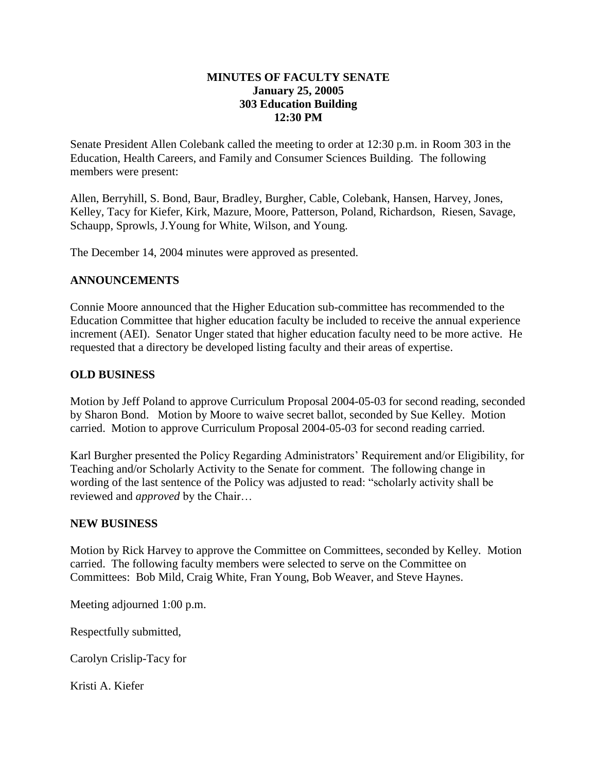## **MINUTES OF FACULTY SENATE January 25, 20005 303 Education Building 12:30 PM**

Senate President Allen Colebank called the meeting to order at 12:30 p.m. in Room 303 in the Education, Health Careers, and Family and Consumer Sciences Building. The following members were present:

Allen, Berryhill, S. Bond, Baur, Bradley, Burgher, Cable, Colebank, Hansen, Harvey, Jones, Kelley, Tacy for Kiefer, Kirk, Mazure, Moore, Patterson, Poland, Richardson, Riesen, Savage, Schaupp, Sprowls, J.Young for White, Wilson, and Young.

The December 14, 2004 minutes were approved as presented.

## **ANNOUNCEMENTS**

Connie Moore announced that the Higher Education sub-committee has recommended to the Education Committee that higher education faculty be included to receive the annual experience increment (AEI). Senator Unger stated that higher education faculty need to be more active. He requested that a directory be developed listing faculty and their areas of expertise.

## **OLD BUSINESS**

Motion by Jeff Poland to approve Curriculum Proposal 2004-05-03 for second reading, seconded by Sharon Bond. Motion by Moore to waive secret ballot, seconded by Sue Kelley. Motion carried. Motion to approve Curriculum Proposal 2004-05-03 for second reading carried.

Karl Burgher presented the Policy Regarding Administrators' Requirement and/or Eligibility, for Teaching and/or Scholarly Activity to the Senate for comment. The following change in wording of the last sentence of the Policy was adjusted to read: "scholarly activity shall be reviewed and *approved* by the Chair…

## **NEW BUSINESS**

Motion by Rick Harvey to approve the Committee on Committees, seconded by Kelley. Motion carried. The following faculty members were selected to serve on the Committee on Committees: Bob Mild, Craig White, Fran Young, Bob Weaver, and Steve Haynes.

Meeting adjourned 1:00 p.m.

Respectfully submitted,

Carolyn Crislip-Tacy for

Kristi A. Kiefer